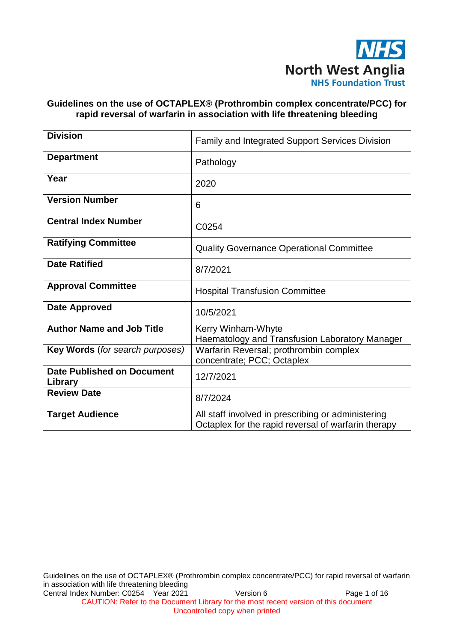

### **Guidelines on the use of OCTAPLEX® (Prothrombin complex concentrate/PCC) for rapid reversal of warfarin in association with life threatening bleeding**

| <b>Division</b>                              | <b>Family and Integrated Support Services Division</b>                                                    |
|----------------------------------------------|-----------------------------------------------------------------------------------------------------------|
| <b>Department</b>                            | Pathology                                                                                                 |
| Year                                         | 2020                                                                                                      |
| <b>Version Number</b>                        | 6                                                                                                         |
| <b>Central Index Number</b>                  | C0254                                                                                                     |
| <b>Ratifying Committee</b>                   | <b>Quality Governance Operational Committee</b>                                                           |
| <b>Date Ratified</b>                         | 8/7/2021                                                                                                  |
| <b>Approval Committee</b>                    | <b>Hospital Transfusion Committee</b>                                                                     |
| <b>Date Approved</b>                         | 10/5/2021                                                                                                 |
| <b>Author Name and Job Title</b>             | Kerry Winham-Whyte<br>Haematology and Transfusion Laboratory Manager                                      |
| Key Words (for search purposes)              | Warfarin Reversal; prothrombin complex<br>concentrate; PCC; Octaplex                                      |
| <b>Date Published on Document</b><br>Library | 12/7/2021                                                                                                 |
| <b>Review Date</b>                           | 8/7/2024                                                                                                  |
| <b>Target Audience</b>                       | All staff involved in prescribing or administering<br>Octaplex for the rapid reversal of warfarin therapy |

Guidelines on the use of OCTAPLEX® (Prothrombin complex concentrate/PCC) for rapid reversal of warfarin in association with life threatening bleeding Central Index Number: C0254 Year 2021 Version 6 Page 1 of 16 CAUTION: Refer to the Document Library for the most recent version of this document

Uncontrolled copy when printed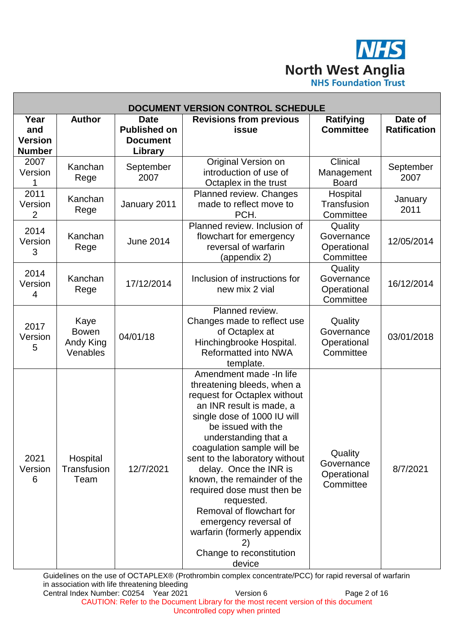**NHS North West Anglia**<br>**NHS Foundation Trust** 

| <b>DOCUMENT VERSION CONTROL SCHEDULE</b>       |                                               |                                                                  |                                                                                                                                                                                                                                                                                                                                                                                                                                                                                                     |                                                   |                                |
|------------------------------------------------|-----------------------------------------------|------------------------------------------------------------------|-----------------------------------------------------------------------------------------------------------------------------------------------------------------------------------------------------------------------------------------------------------------------------------------------------------------------------------------------------------------------------------------------------------------------------------------------------------------------------------------------------|---------------------------------------------------|--------------------------------|
| Year<br>and<br><b>Version</b><br><b>Number</b> | <b>Author</b>                                 | <b>Date</b><br><b>Published on</b><br><b>Document</b><br>Library | <b>Revisions from previous</b><br>issue                                                                                                                                                                                                                                                                                                                                                                                                                                                             | <b>Ratifying</b><br><b>Committee</b>              | Date of<br><b>Ratification</b> |
| 2007<br>Version                                | Kanchan<br>Rege                               | September<br>2007                                                | Original Version on<br>introduction of use of<br>Octaplex in the trust                                                                                                                                                                                                                                                                                                                                                                                                                              | Clinical<br>Management<br><b>Board</b>            | September<br>2007              |
| 2011<br>Version<br>2                           | Kanchan<br>Rege                               | January 2011                                                     | Planned review. Changes<br>made to reflect move to<br>PCH.                                                                                                                                                                                                                                                                                                                                                                                                                                          | Hospital<br>Transfusion<br>Committee              | January<br>2011                |
| 2014<br>Version<br>3                           | Kanchan<br>Rege                               | <b>June 2014</b>                                                 | Planned review. Inclusion of<br>flowchart for emergency<br>reversal of warfarin<br>(appendix 2)                                                                                                                                                                                                                                                                                                                                                                                                     | Quality<br>Governance<br>Operational<br>Committee | 12/05/2014                     |
| 2014<br>Version<br>4                           | Kanchan<br>Rege                               | 17/12/2014                                                       | Inclusion of instructions for<br>new mix 2 vial                                                                                                                                                                                                                                                                                                                                                                                                                                                     | Quality<br>Governance<br>Operational<br>Committee | 16/12/2014                     |
| 2017<br>Version<br>5                           | Kaye<br><b>Bowen</b><br>Andy King<br>Venables | 04/01/18                                                         | Planned review.<br>Changes made to reflect use<br>of Octaplex at<br>Hinchingbrooke Hospital.<br><b>Reformatted into NWA</b><br>template.                                                                                                                                                                                                                                                                                                                                                            | Quality<br>Governance<br>Operational<br>Committee | 03/01/2018                     |
| 2021<br>Version<br>6                           | Hospital<br>Transfusion<br>Team               | 12/7/2021                                                        | Amendment made -In life<br>threatening bleeds, when a<br>request for Octaplex without<br>an INR result is made, a<br>single dose of 1000 IU will<br>be issued with the<br>understanding that a<br>coagulation sample will be<br>sent to the laboratory without<br>delay. Once the INR is<br>known, the remainder of the<br>required dose must then be<br>requested.<br>Removal of flowchart for<br>emergency reversal of<br>warfarin (formerly appendix<br>2)<br>Change to reconstitution<br>device | Quality<br>Governance<br>Operational<br>Committee | 8/7/2021                       |

Guidelines on the use of OCTAPLEX® (Prothrombin complex concentrate/PCC) for rapid reversal of warfarin in association with life threatening bleeding Central Index Number: C0254 Year 2021 Version 6 Page 2 of 16

CAUTION: Refer to the Document Library for the most recent version of this document Uncontrolled copy when printed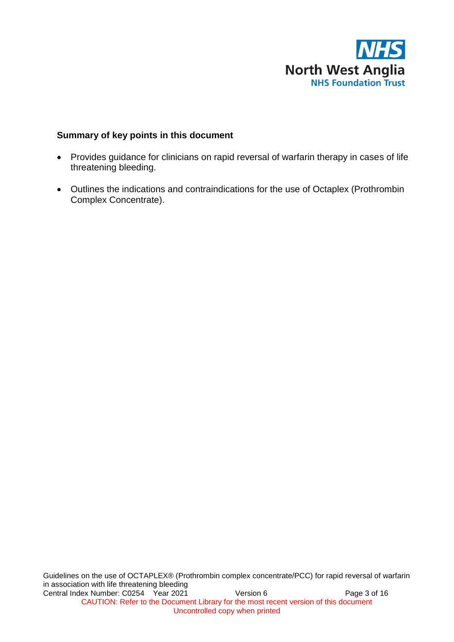

#### **Summary of key points in this document**

- Provides guidance for clinicians on rapid reversal of warfarin therapy in cases of life threatening bleeding.
- Outlines the indications and contraindications for the use of Octaplex (Prothrombin Complex Concentrate).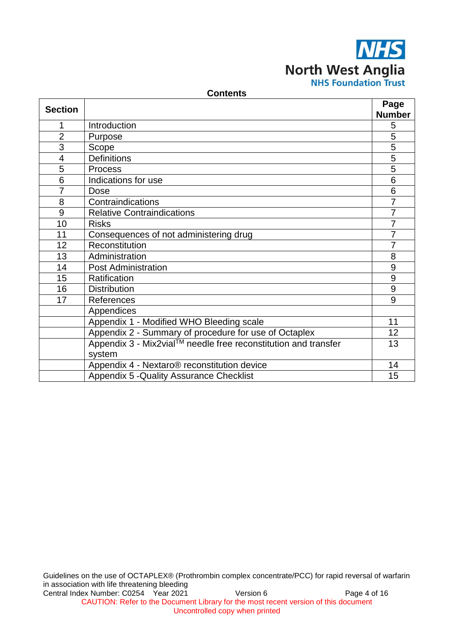

#### **Contents**

| <b>Section</b> |                                                                | Page           |  |
|----------------|----------------------------------------------------------------|----------------|--|
|                |                                                                | <b>Number</b>  |  |
| 1              | Introduction                                                   | 5              |  |
| $\overline{2}$ | Purpose                                                        | 5              |  |
| 3              | Scope                                                          | $\overline{5}$ |  |
| $\overline{4}$ | <b>Definitions</b>                                             | 5              |  |
| 5              | <b>Process</b>                                                 | 5              |  |
| 6              | Indications for use                                            | 6              |  |
| $\overline{7}$ | Dose                                                           | $\overline{6}$ |  |
| 8              | $\overline{7}$<br>Contraindications                            |                |  |
| 9              | <b>Relative Contraindications</b>                              | 7              |  |
| 10             | <b>Risks</b>                                                   | $\overline{7}$ |  |
| 11             | Consequences of not administering drug                         | $\overline{7}$ |  |
| 12             | Reconstitution                                                 | $\overline{7}$ |  |
| 13             | Administration                                                 | 8              |  |
| 14             | <b>Post Administration</b>                                     | 9              |  |
| 15             | Ratification                                                   | $9\,$          |  |
| 16             | <b>Distribution</b>                                            | 9              |  |
| 17             | References                                                     | 9              |  |
|                | Appendices                                                     |                |  |
|                | Appendix 1 - Modified WHO Bleeding scale                       | 11             |  |
|                | Appendix 2 - Summary of procedure for use of Octaplex          | 12             |  |
|                | Appendix 3 - Mix2vial™ needle free reconstitution and transfer | 13             |  |
|                | system                                                         |                |  |
|                | Appendix 4 - Nextaro <sup>®</sup> reconstitution device        | 14             |  |
|                | Appendix 5 - Quality Assurance Checklist                       | 15             |  |

Guidelines on the use of OCTAPLEX® (Prothrombin complex concentrate/PCC) for rapid reversal of warfarin in association with life threatening bleeding Central Index Number: C0254 Year 2021 Version 6 Page 4 of 16 CAUTION: Refer to the Document Library for the most recent version of this document Uncontrolled copy when printed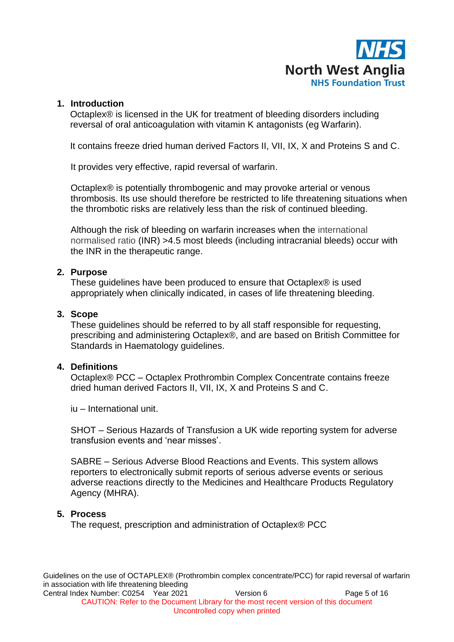

#### **1. Introduction**

Octaplex® is licensed in the UK for treatment of bleeding disorders including reversal of oral anticoagulation with vitamin K antagonists (eg Warfarin).

It contains freeze dried human derived Factors II, VII, IX, X and Proteins S and C.

It provides very effective, rapid reversal of warfarin.

Octaplex® is potentially thrombogenic and may provoke arterial or venous thrombosis. Its use should therefore be restricted to life threatening situations when the thrombotic risks are relatively less than the risk of continued bleeding.

Although the risk of bleeding on warfarin increases when the international normalised ratio (INR) >4.5 most bleeds (including intracranial bleeds) occur with the INR in the therapeutic range.

#### **2. Purpose**

These guidelines have been produced to ensure that Octaplex® is used appropriately when clinically indicated, in cases of life threatening bleeding.

#### **3. Scope**

These guidelines should be referred to by all staff responsible for requesting, prescribing and administering Octaplex®, and are based on British Committee for Standards in Haematology guidelines.

#### **4. Definitions**

Octaplex® PCC – Octaplex Prothrombin Complex Concentrate contains freeze dried human derived Factors II, VII, IX, X and Proteins S and C.

iu – International unit.

SHOT – Serious Hazards of Transfusion a UK wide reporting system for adverse transfusion events and 'near misses'.

SABRE – Serious Adverse Blood Reactions and Events. This system allows reporters to electronically submit reports of serious adverse events or serious adverse reactions directly to the Medicines and Healthcare Products Regulatory Agency (MHRA).

#### **5. Process**

The request, prescription and administration of Octaplex® PCC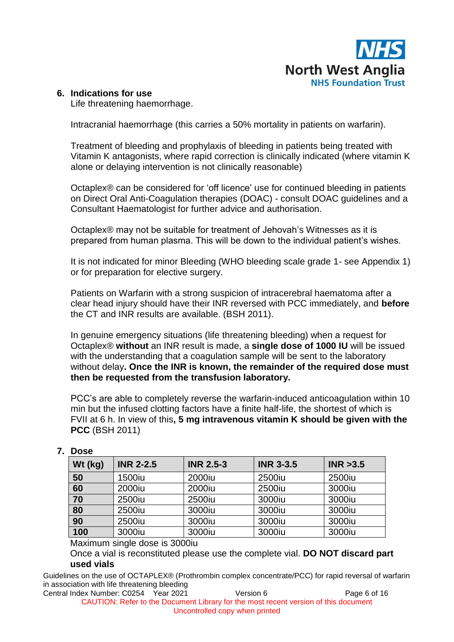

#### **6. Indications for use**

Life threatening haemorrhage.

Intracranial haemorrhage (this carries a 50% mortality in patients on warfarin).

Treatment of bleeding and prophylaxis of bleeding in patients being treated with Vitamin K antagonists, where rapid correction is clinically indicated (where vitamin K alone or delaying intervention is not clinically reasonable)

Octaplex® can be considered for 'off licence' use for continued bleeding in patients on Direct Oral Anti-Coagulation therapies (DOAC) - consult DOAC guidelines and a Consultant Haematologist for further advice and authorisation.

Octaplex® may not be suitable for treatment of Jehovah's Witnesses as it is prepared from human plasma. This will be down to the individual patient's wishes.

It is not indicated for minor Bleeding (WHO bleeding scale grade 1- see Appendix 1) or for preparation for elective surgery.

Patients on Warfarin with a strong suspicion of intracerebral haematoma after a clear head injury should have their INR reversed with PCC immediately, and **before** the CT and INR results are available. (BSH 2011).

In genuine emergency situations (life threatening bleeding) when a request for Octaplex® **without** an INR result is made, a **single dose of 1000 IU** will be issued with the understanding that a coagulation sample will be sent to the laboratory without delay**. Once the INR is known, the remainder of the required dose must then be requested from the transfusion laboratory.**

PCC's are able to completely reverse the warfarin-induced anticoagulation within 10 min but the infused clotting factors have a finite half-life, the shortest of which is FVII at 6 h. In view of this**, 5 mg intravenous vitamin K should be given with the PCC** (BSH 2011)

| Wt (kg) | <b>INR 2-2.5</b> | <b>INR 2.5-3</b> | <b>INR 3-3.5</b> | INR > 3.5 |
|---------|------------------|------------------|------------------|-----------|
| 50      | 1500iu           | 2000iu           | 2500iu           | 2500iu    |
| 60      | 2000iu           | 2000iu           | 2500iu           | 3000iu    |
| 70      | 2500iu           | 2500iu           | 3000iu           | 3000iu    |
| 80      | 2500iu           | 3000iu           | 3000iu           | 3000iu    |
| 90      | 2500iu           | 3000iu           | 3000iu           | 3000iu    |
| 100     | 3000iu           | 3000iu           | 3000iu           | 3000iu    |

## **7. Dose**

Maximum single dose is 3000iu

Once a vial is reconstituted please use the complete vial. **DO NOT discard part used vials**

Guidelines on the use of OCTAPLEX® (Prothrombin complex concentrate/PCC) for rapid reversal of warfarin in association with life threatening bleeding

Central Index Number: C0254 Year 2021 Version 6 Page 6 of 16 CAUTION: Refer to the Document Library for the most recent version of this document Uncontrolled copy when printed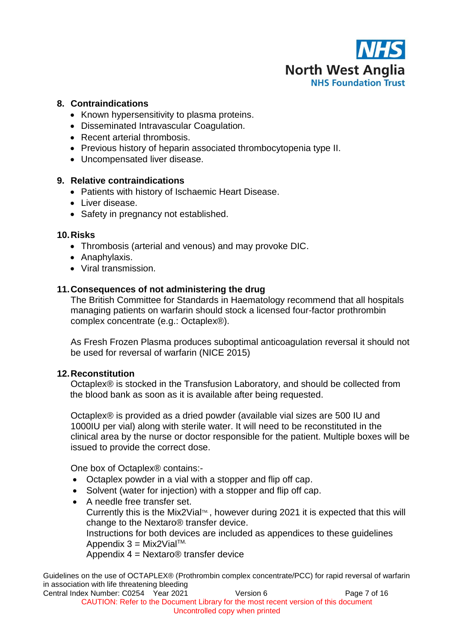

#### **8. Contraindications**

- Known hypersensitivity to plasma proteins.
- Disseminated Intravascular Coagulation.
- Recent arterial thrombosis.
- Previous history of heparin associated thrombocytopenia type II.
- Uncompensated liver disease.

#### **9. Relative contraindications**

- Patients with history of Ischaemic Heart Disease.
- Liver disease.
- Safety in pregnancy not established.

#### **10.Risks**

- Thrombosis (arterial and venous) and may provoke DIC.
- Anaphylaxis.
- Viral transmission.

## **11.Consequences of not administering the drug**

The British Committee for Standards in Haematology recommend that all hospitals managing patients on warfarin should stock a licensed four-factor prothrombin complex concentrate (e.g.: Octaplex®).

As Fresh Frozen Plasma produces suboptimal anticoagulation reversal it should not be used for reversal of warfarin (NICE 2015)

#### **12.Reconstitution**

Octaplex® is stocked in the Transfusion Laboratory, and should be collected from the blood bank as soon as it is available after being requested.

Octaplex® is provided as a dried powder (available vial sizes are 500 IU and 1000IU per vial) along with sterile water. It will need to be reconstituted in the clinical area by the nurse or doctor responsible for the patient. Multiple boxes will be issued to provide the correct dose.

One box of Octaplex® contains:-

- Octaplex powder in a vial with a stopper and flip off cap.
- Solvent (water for injection) with a stopper and flip off cap.
- A needle free transfer set. Currently this is the Mix2Vial<sup> $m$ </sup>, however during 2021 it is expected that this will change to the Nextaro® transfer device. Instructions for both devices are included as appendices to these guidelines Appendix  $3 = Mix2Vial<sup>TM</sup>$ . Appendix 4 = Nextaro® transfer device

Guidelines on the use of OCTAPLEX® (Prothrombin complex concentrate/PCC) for rapid reversal of warfarin in association with life threatening bleeding

Central Index Number: C0254 Year 2021 Version 6 Version 6 CAUTION: Refer to the Document Library for the most recent version of this document Uncontrolled copy when printed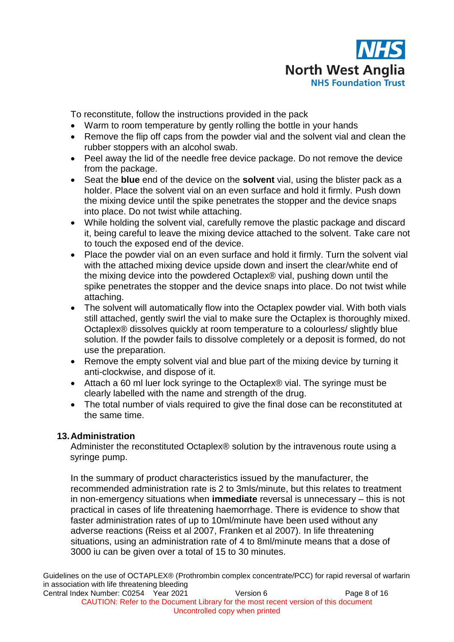

To reconstitute, follow the instructions provided in the pack

- Warm to room temperature by gently rolling the bottle in your hands
- Remove the flip off caps from the powder vial and the solvent vial and clean the rubber stoppers with an alcohol swab.
- Peel away the lid of the needle free device package. Do not remove the device from the package.
- Seat the **blue** end of the device on the **solvent** vial, using the blister pack as a holder. Place the solvent vial on an even surface and hold it firmly. Push down the mixing device until the spike penetrates the stopper and the device snaps into place. Do not twist while attaching.
- While holding the solvent vial, carefully remove the plastic package and discard it, being careful to leave the mixing device attached to the solvent. Take care not to touch the exposed end of the device.
- Place the powder vial on an even surface and hold it firmly. Turn the solvent vial with the attached mixing device upside down and insert the clear/white end of the mixing device into the powdered Octaplex® vial, pushing down until the spike penetrates the stopper and the device snaps into place. Do not twist while attaching.
- The solvent will automatically flow into the Octaplex powder vial. With both vials still attached, gently swirl the vial to make sure the Octaplex is thoroughly mixed. Octaplex® dissolves quickly at room temperature to a colourless/ slightly blue solution. If the powder fails to dissolve completely or a deposit is formed, do not use the preparation.
- Remove the empty solvent vial and blue part of the mixing device by turning it anti-clockwise, and dispose of it.
- Attach a 60 ml luer lock syringe to the Octaplex® vial. The syringe must be clearly labelled with the name and strength of the drug.
- The total number of vials required to give the final dose can be reconstituted at the same time.

# **13.Administration**

Administer the reconstituted Octaplex® solution by the intravenous route using a syringe pump.

In the summary of product characteristics issued by the manufacturer, the recommended administration rate is 2 to 3mls/minute, but this relates to treatment in non-emergency situations when **immediate** reversal is unnecessary – this is not practical in cases of life threatening haemorrhage. There is evidence to show that faster administration rates of up to 10ml/minute have been used without any adverse reactions (Reiss et al 2007, Franken et al 2007). In life threatening situations, using an administration rate of 4 to 8ml/minute means that a dose of 3000 iu can be given over a total of 15 to 30 minutes.

Guidelines on the use of OCTAPLEX® (Prothrombin complex concentrate/PCC) for rapid reversal of warfarin in association with life threatening bleeding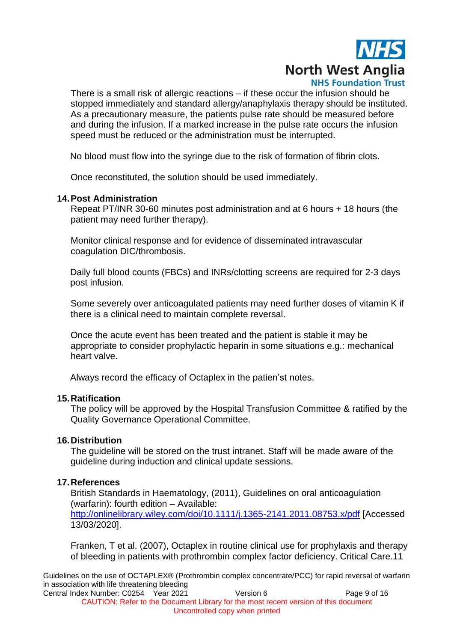

There is a small risk of allergic reactions – if these occur the infusion should be stopped immediately and standard allergy/anaphylaxis therapy should be instituted. As a precautionary measure, the patients pulse rate should be measured before and during the infusion. If a marked increase in the pulse rate occurs the infusion speed must be reduced or the administration must be interrupted.

No blood must flow into the syringe due to the risk of formation of fibrin clots.

Once reconstituted, the solution should be used immediately.

#### **14.Post Administration**

Repeat PT/INR 30-60 minutes post administration and at 6 hours + 18 hours (the patient may need further therapy).

Monitor clinical response and for evidence of disseminated intravascular coagulation DIC/thrombosis.

Daily full blood counts (FBCs) and INRs/clotting screens are required for 2-3 days post infusion.

Some severely over anticoagulated patients may need further doses of vitamin K if there is a clinical need to maintain complete reversal.

Once the acute event has been treated and the patient is stable it may be appropriate to consider prophylactic heparin in some situations e.g.: mechanical heart valve.

Always record the efficacy of Octaplex in the patien'st notes.

#### **15.Ratification**

The policy will be approved by the Hospital Transfusion Committee & ratified by the Quality Governance Operational Committee.

#### **16.Distribution**

The guideline will be stored on the trust intranet. Staff will be made aware of the guideline during induction and clinical update sessions.

#### **17.References**

British Standards in Haematology, (2011), Guidelines on oral anticoagulation (warfarin): fourth edition – Available: <http://onlinelibrary.wiley.com/doi/10.1111/j.1365-2141.2011.08753.x/pdf> [Accessed 13/03/2020].

Franken, T et al. (2007), Octaplex in routine clinical use for prophylaxis and therapy of bleeding in patients with prothrombin complex factor deficiency. Critical Care.11

Guidelines on the use of OCTAPLEX® (Prothrombin complex concentrate/PCC) for rapid reversal of warfarin in association with life threatening bleeding

Central Index Number: C0254 Year 2021 Version 6 Page 9 of 16 CAUTION: Refer to the Document Library for the most recent version of this document Uncontrolled copy when printed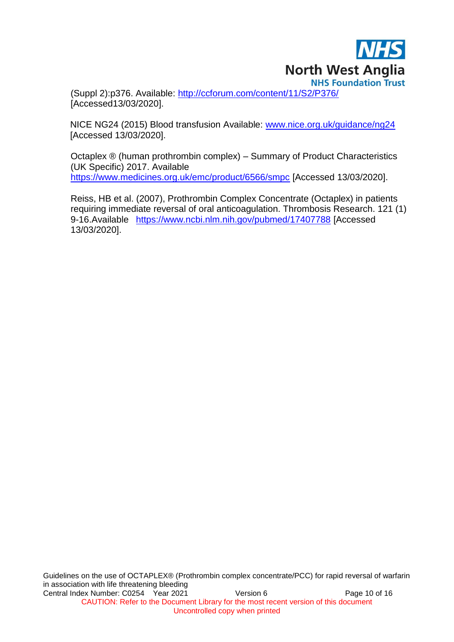

(Suppl 2):p376. Available:<http://ccforum.com/content/11/S2/P376/> [Accessed13/03/2020].

NICE NG24 (2015) Blood transfusion Available: [www.nice.org.uk/guidance/ng24](http://www.nice.org.uk/guidance/ng24)  [Accessed 13/03/2020].

Octaplex ® (human prothrombin complex) – Summary of Product Characteristics (UK Specific) 2017. Available <https://www.medicines.org.uk/emc/product/6566/smpc> [Accessed 13/03/2020].

Reiss, HB et al. (2007), Prothrombin Complex Concentrate (Octaplex) in patients requiring immediate reversal of oral anticoagulation. Thrombosis Research. 121 (1) 9-16.Available <https://www.ncbi.nlm.nih.gov/pubmed/17407788> [Accessed 13/03/2020].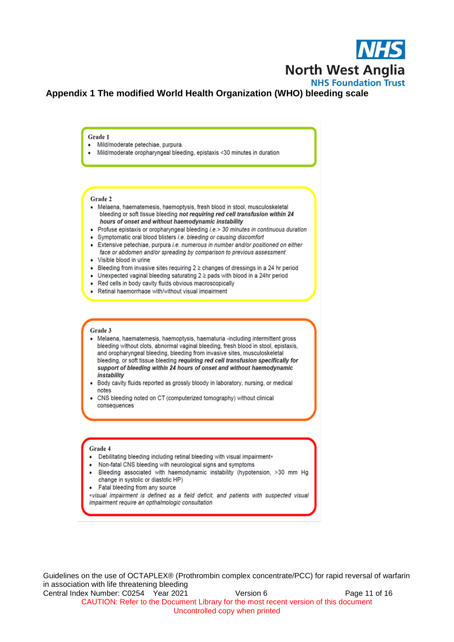

## **Appendix 1 The modified World Health Organization (WHO) bleeding scale**

Grade 1

- · Mild/moderate petechiae, purpura.
- Mild/moderate oropharyngeal bleeding, epistaxis <30 minutes in duration

#### Grade 2

- Melaena, haematemesis, haemoptysis, fresh blood in stool, musculoskeletal bleeding or soft tissue bleeding not requiring red cell transfusion within 24 hours of onset and without haemodynamic instability
- Profuse epistaxis or oropharyngeal bleeding i.e.> 30 minutes in continuous duration
- Symptomatic oral blood blisters i.e. bleeding or causing discomfort
- Extensive petechiae, purpura i.e. numerous in number and/or positioned on either face or abdomen and/or spreading by comparison to previous assessment
- · Visible blood in urine
- Bleeding from invasive sites requiring  $2 \geq$  changes of dressings in a 24 hr period
- Unexpected vaginal bleeding saturating 2 ≥ pads with blood in a 24hr period
- Red cells in body cavity fluids obvious macroscopically
- Retinal haemorrhage with/without visual impairment

#### Grade 3

- Melaena, haematemesis, haemoptysis, haematuria -including intermittent gross bleeding without clots, abnormal vaginal bleeding, fresh blood in stool, epistaxis, and oropharyngeal bleeding, bleeding from invasive sites, musculoskeletal bleeding, or soft tissue bleeding requiring red cell transfusion specifically for support of bleeding within 24 hours of onset and without haemodynamic instability
- Body cavity fluids reported as grossly bloody in laboratory, nursing, or medical notes
- CNS bleeding noted on CT (computerized tomography) without clinical consequences

#### Grade 4

- Debilitating bleeding including retinal bleeding with visual impairment\*
- Non-fatal CNS bleeding with neurological signs and symptoms
- Bleeding associated with haemodynamic instability (hypotension, >30 mm Hg change in systolic or diastolic HP)
- Fatal bleeding from any source

\*visual impairment is defined as a field deficit, and patients with suspected visual impairment require an opthalmologic consultation

Guidelines on the use of OCTAPLEX® (Prothrombin complex concentrate/PCC) for rapid reversal of warfarin in association with life threatening bleeding Central Index Number: C0254 Year 2021 Version 6 Version 6 Page 11 of 16 CAUTION: Refer to the Document Library for the most recent version of this document

Uncontrolled copy when printed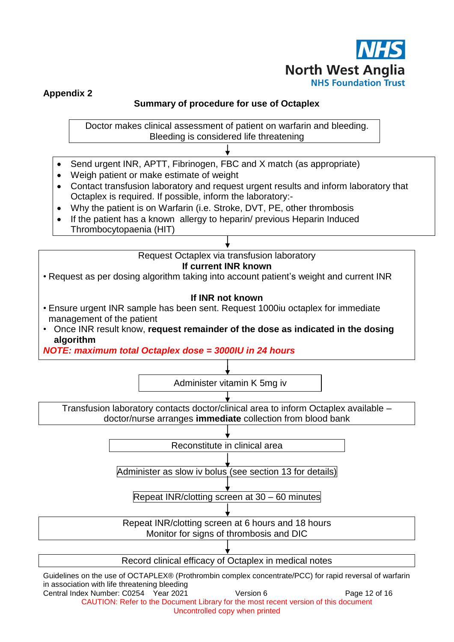

# **Appendix 2**

# **Summary of procedure for use of Octaplex**

Doctor makes clinical assessment of patient on warfarin and bleeding. Bleeding is considered life threatening

- Send urgent INR, APTT, Fibrinogen, FBC and X match (as appropriate)
- Weigh patient or make estimate of weight
- Contact transfusion laboratory and request urgent results and inform laboratory that Octaplex is required. If possible, inform the laboratory:-
- Why the patient is on Warfarin (i.e. Stroke, DVT, PE, other thrombosis
- If the patient has a known allergy to heparin/ previous Heparin Induced Thrombocytopaenia (HIT)

Request Octaplex via transfusion laboratory

**If current INR known**

• Request as per dosing algorithm taking into account patient's weight and current INR

## **If INR not known**

- Ensure urgent INR sample has been sent. Request 1000iu octaplex for immediate management of the patient
- Once INR result know, **request remainder of the dose as indicated in the dosing algorithm**

*NOTE: maximum total Octaplex dose = 3000IU in 24 hours*



in association with life threatening bleeding Central Index Number: C0254 Year 2021 Version 6 Version 6 Page 12 of 16

CAUTION: Refer to the Document Library for the most recent version of this document Uncontrolled copy when printed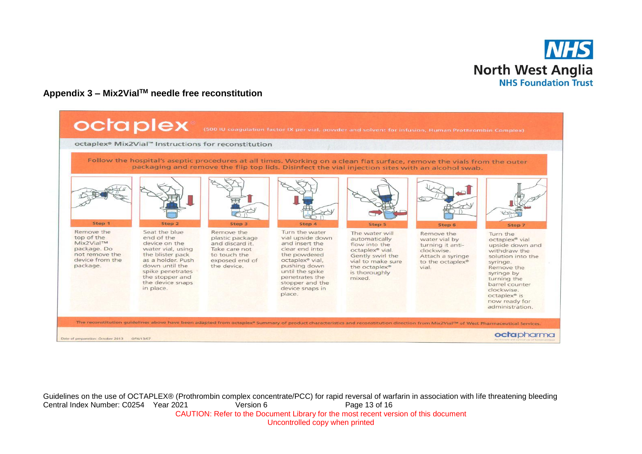

# **Appendix 3 – Mix2VialTM needle free reconstitution**



Guidelines on the use of OCTAPLEX® (Prothrombin complex concentrate/PCC) for rapid reversal of warfarin in association with life threatening bleeding Central Index Number: C0254 Year 2021 Version 6 Page 13 of 16 CAUTION: Refer to the Document Library for the most recent version of this document Uncontrolled copy when printed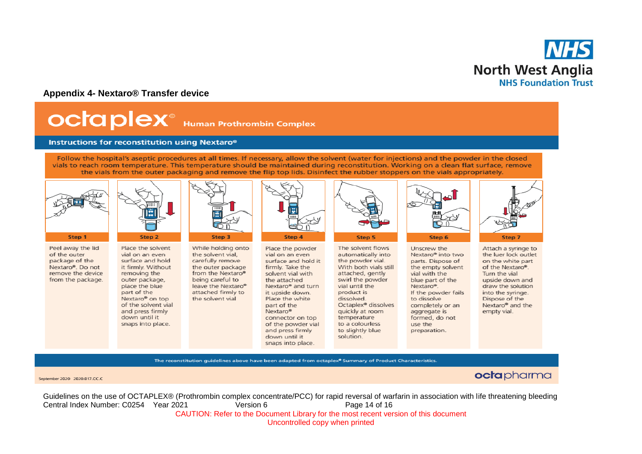

#### **Appendix 4- Nextaro® Transfer device**

# **OCTA PIEX**<sup>®</sup> Human Prothrombin Complex

#### Instructions for reconstitution using Nextaro®

snaps into place.

Follow the hospital's aseptic procedures at all times. If necessary, allow the solvent (water for injections) and the powder in the closed vials to reach room temperature. This temperature should be maintained during reconstitution. Working on a clean flat surface, remove the vials from the outer packaging and remove the flip top lids. Disinfect the rubber stoppers on the vials appropriately.



Peel away the lid of the outer package of the Nextaro®. Do not remove the device from the package.



Place the solvent While holding onto vial on an even the solvent vial. carefully remove surface and hold it firmly. Without the outer package removing the from the Nextaro® outer package, being careful to place the blue leave the Nextaro® part of the attached firmly to Nextaro<sup>®</sup> on top the solvent vial of the solvent vial and press firmly down until it



Place the powder vial on an even surface and hold it firmly. Take the solvent vial with the attached Nextaro<sup>®</sup> and turn it upside down. Place the white part of the Nextaro<sup>®</sup> connector on top of the powder vial and press firmly down until it snaps into place.



The solvent flows automatically into the powder vial. With both vials still attached, gently swirl the powder vial until the product is dissolved. Octaplex<sup>®</sup> dissolves quickly at room temperature to a colourless to slightly blue solution.



Unscrew the Nextaro® into two parts. Dispose of the empty solvent vial with the blue part of the Nextaro<sup>®</sup>. If the powder fails to dissolve completely or an aggregate is formed, do not use the preparation.



Attach a syringe to the luer lock outlet on the white part of the Nextaro®. Turn the vial upside down and draw the solution into the syringe. Dispose of the Nextaro<sup>®</sup> and the empty vial.

The reconstitution guidelines above have been adapted from octaplex<sup>®</sup> Summary of Product Characteristics.

#### September 2020 2020.017.CC.C

octapharma

Guidelines on the use of OCTAPLEX® (Prothrombin complex concentrate/PCC) for rapid reversal of warfarin in association with life threatening bleeding Central Index Number: C0254 Year 2021 Version 6 Page 14 of 16 CAUTION: Refer to the Document Library for the most recent version of this document Uncontrolled copy when printed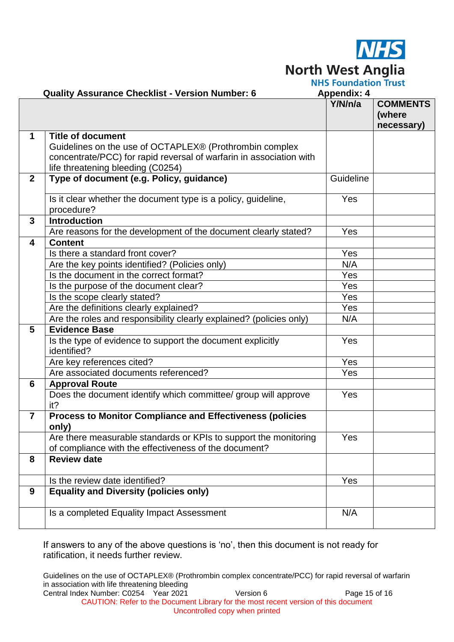

**North West Anglia**<br>**NHS Foundation Trust** 

|                         | <b>Quality Assurance Checklist - Version Number: 6</b>                                                                                                                                          | <b>Appendix: 4</b> |                                         |
|-------------------------|-------------------------------------------------------------------------------------------------------------------------------------------------------------------------------------------------|--------------------|-----------------------------------------|
|                         |                                                                                                                                                                                                 | Y/N/n/a            | <b>COMMENTS</b><br>(where<br>necessary) |
| $\mathbf 1$             | <b>Title of document</b><br>Guidelines on the use of OCTAPLEX® (Prothrombin complex<br>concentrate/PCC) for rapid reversal of warfarin in association with<br>life threatening bleeding (C0254) |                    |                                         |
| $\overline{2}$          | Type of document (e.g. Policy, guidance)                                                                                                                                                        | Guideline          |                                         |
|                         | Is it clear whether the document type is a policy, guideline,<br>procedure?                                                                                                                     | Yes                |                                         |
| $\mathbf{3}$            | <b>Introduction</b>                                                                                                                                                                             |                    |                                         |
|                         | Are reasons for the development of the document clearly stated?                                                                                                                                 | Yes                |                                         |
| $\overline{\mathbf{4}}$ | <b>Content</b>                                                                                                                                                                                  |                    |                                         |
|                         | Is there a standard front cover?                                                                                                                                                                | Yes                |                                         |
|                         | Are the key points identified? (Policies only)                                                                                                                                                  | N/A                |                                         |
|                         | Is the document in the correct format?                                                                                                                                                          | Yes                |                                         |
|                         | Is the purpose of the document clear?                                                                                                                                                           | Yes                |                                         |
|                         | Is the scope clearly stated?                                                                                                                                                                    | Yes                |                                         |
|                         | Are the definitions clearly explained?                                                                                                                                                          | Yes                |                                         |
|                         | Are the roles and responsibility clearly explained? (policies only)                                                                                                                             | N/A                |                                         |
| $5\phantom{.0}$         | <b>Evidence Base</b>                                                                                                                                                                            |                    |                                         |
|                         | Is the type of evidence to support the document explicitly<br>identified?                                                                                                                       | Yes                |                                         |
|                         | Are key references cited?                                                                                                                                                                       | Yes                |                                         |
|                         | Are associated documents referenced?                                                                                                                                                            | Yes                |                                         |
| 6                       | <b>Approval Route</b>                                                                                                                                                                           |                    |                                         |
|                         | Does the document identify which committee/ group will approve<br>it?                                                                                                                           | Yes                |                                         |
| $\overline{7}$          | <b>Process to Monitor Compliance and Effectiveness (policies</b><br>only)                                                                                                                       |                    |                                         |
|                         | Are there measurable standards or KPIs to support the monitoring<br>of compliance with the effectiveness of the document?                                                                       | Yes                |                                         |
| 8                       | <b>Review date</b>                                                                                                                                                                              |                    |                                         |
|                         | Is the review date identified?                                                                                                                                                                  | Yes                |                                         |
| $\boldsymbol{9}$        | <b>Equality and Diversity (policies only)</b>                                                                                                                                                   |                    |                                         |
|                         | Is a completed Equality Impact Assessment                                                                                                                                                       | N/A                |                                         |

If answers to any of the above questions is 'no', then this document is not ready for ratification, it needs further review.

Guidelines on the use of OCTAPLEX® (Prothrombin complex concentrate/PCC) for rapid reversal of warfarin in association with life threatening bleeding

Central Index Number: C0254 Year 2021 Version 6 Page 15 of 16 CAUTION: Refer to the Document Library for the most recent version of this document Uncontrolled copy when printed